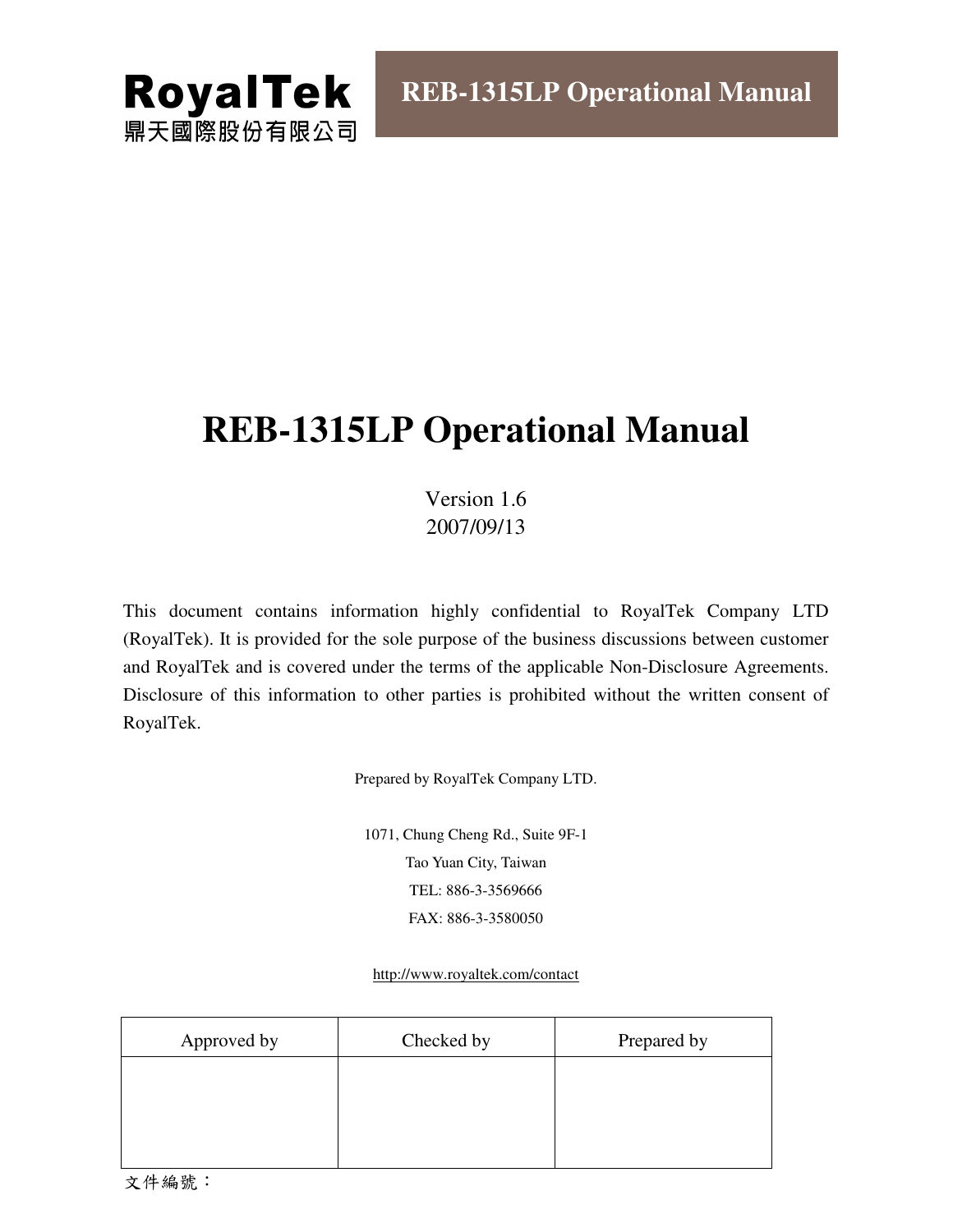

# **REB-1315LP Operational Manual**

Version 1.6 2007/09/13

This document contains information highly confidential to RoyalTek Company LTD (RoyalTek). It is provided for the sole purpose of the business discussions between customer and RoyalTek and is covered under the terms of the applicable Non-Disclosure Agreements. Disclosure of this information to other parties is prohibited without the written consent of RoyalTek.

Prepared by RoyalTek Company LTD.

1071, Chung Cheng Rd., Suite 9F-1 Tao Yuan City, Taiwan TEL: 886-3-3569666 FAX: 886-3-3580050

http://www.royaltek.com/contact

| Approved by | Checked by | Prepared by |
|-------------|------------|-------------|
|             |            |             |
|             |            |             |
|             |            |             |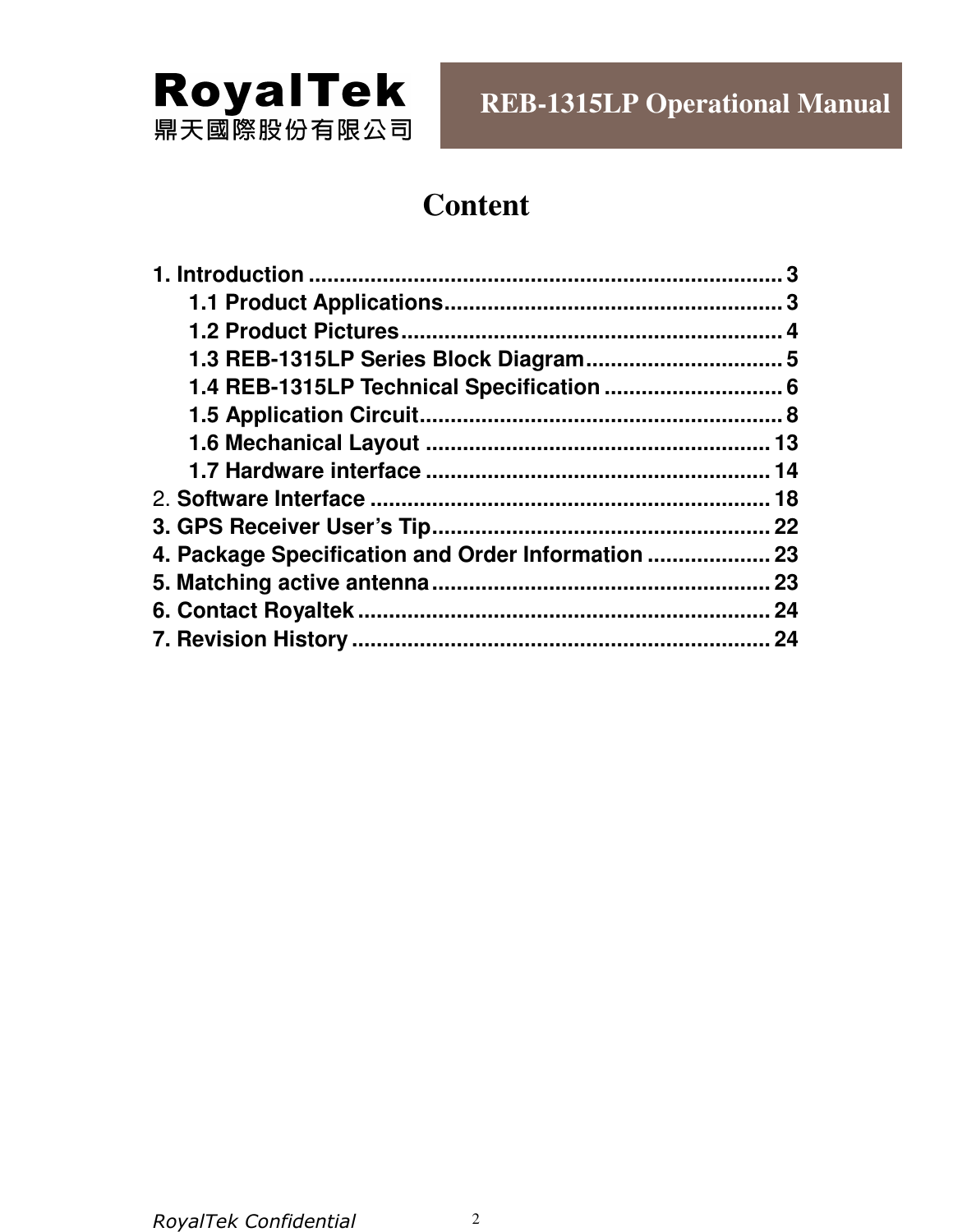

# **Content**

|                                                    | 18 |
|----------------------------------------------------|----|
|                                                    |    |
| 4. Package Specification and Order Information  23 |    |
|                                                    |    |
|                                                    | 24 |
|                                                    | 24 |
|                                                    |    |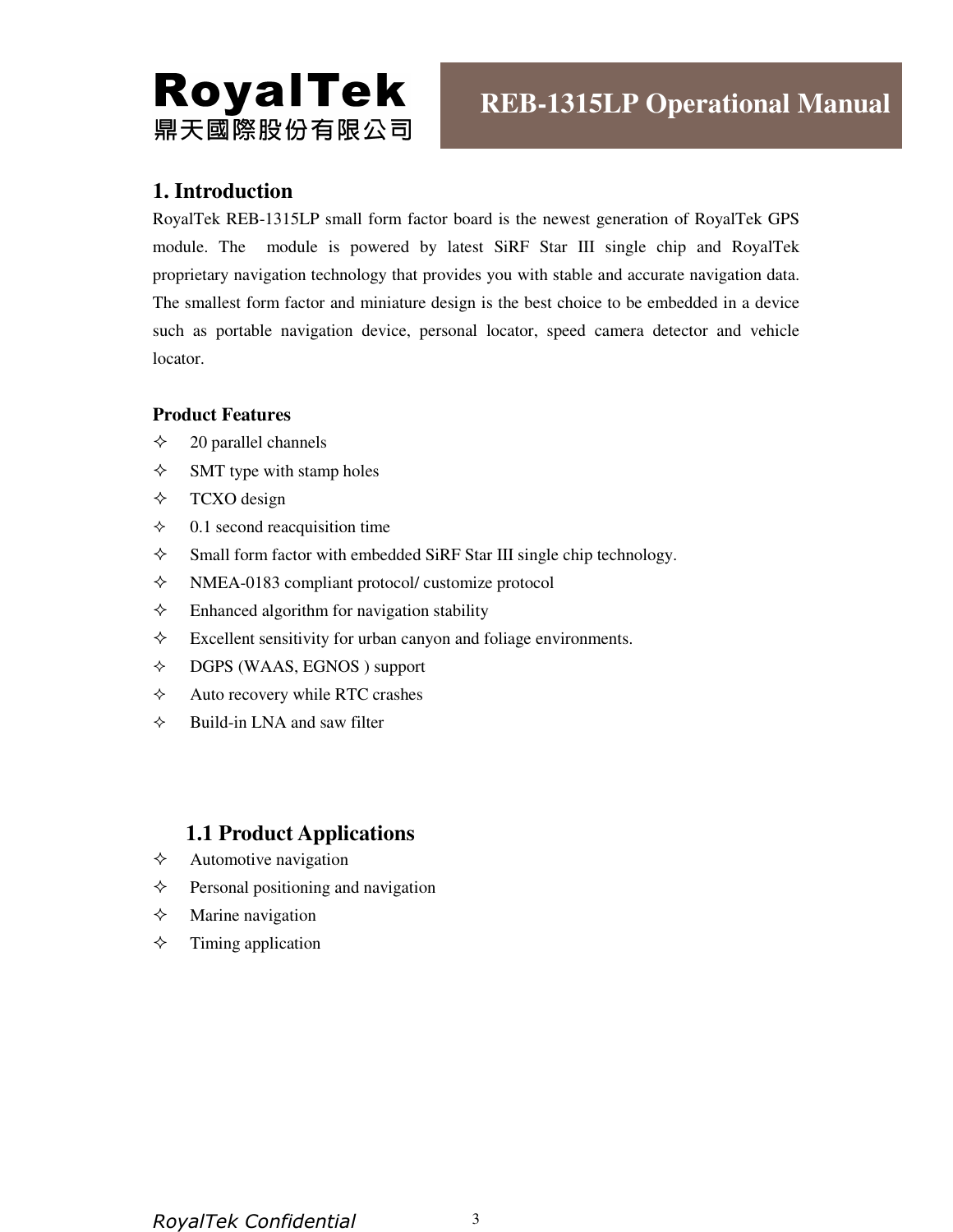# **RoyalTek** 鼎天國際股份有限公司

## **1. Introduction**

RoyalTek REB-1315LP small form factor board is the newest generation of RoyalTek GPS module. The module is powered by latest SiRF Star III single chip and RoyalTek proprietary navigation technology that provides you with stable and accurate navigation data. The smallest form factor and miniature design is the best choice to be embedded in a device such as portable navigation device, personal locator, speed camera detector and vehicle locator.

#### **Product Features**

- $\diamond$  20 parallel channels
- $\diamond$  SMT type with stamp holes
- $\div$  TCXO design
- $\div$  0.1 second reacquisition time
- $\Diamond$  Small form factor with embedded SiRF Star III single chip technology.
- $\Diamond$  NMEA-0183 compliant protocol/ customize protocol
- $\Diamond$  Enhanced algorithm for navigation stability
- $\Diamond$  Excellent sensitivity for urban canyon and foliage environments.
- DGPS (WAAS, EGNOS ) support
- $\Diamond$  Auto recovery while RTC crashes
- $\Diamond$  Build-in LNA and saw filter

## **1.1 Product Applications**

- $\Diamond$  Automotive navigation
- $\Diamond$  Personal positioning and navigation
- $\Diamond$  Marine navigation
- $\Diamond$  Timing application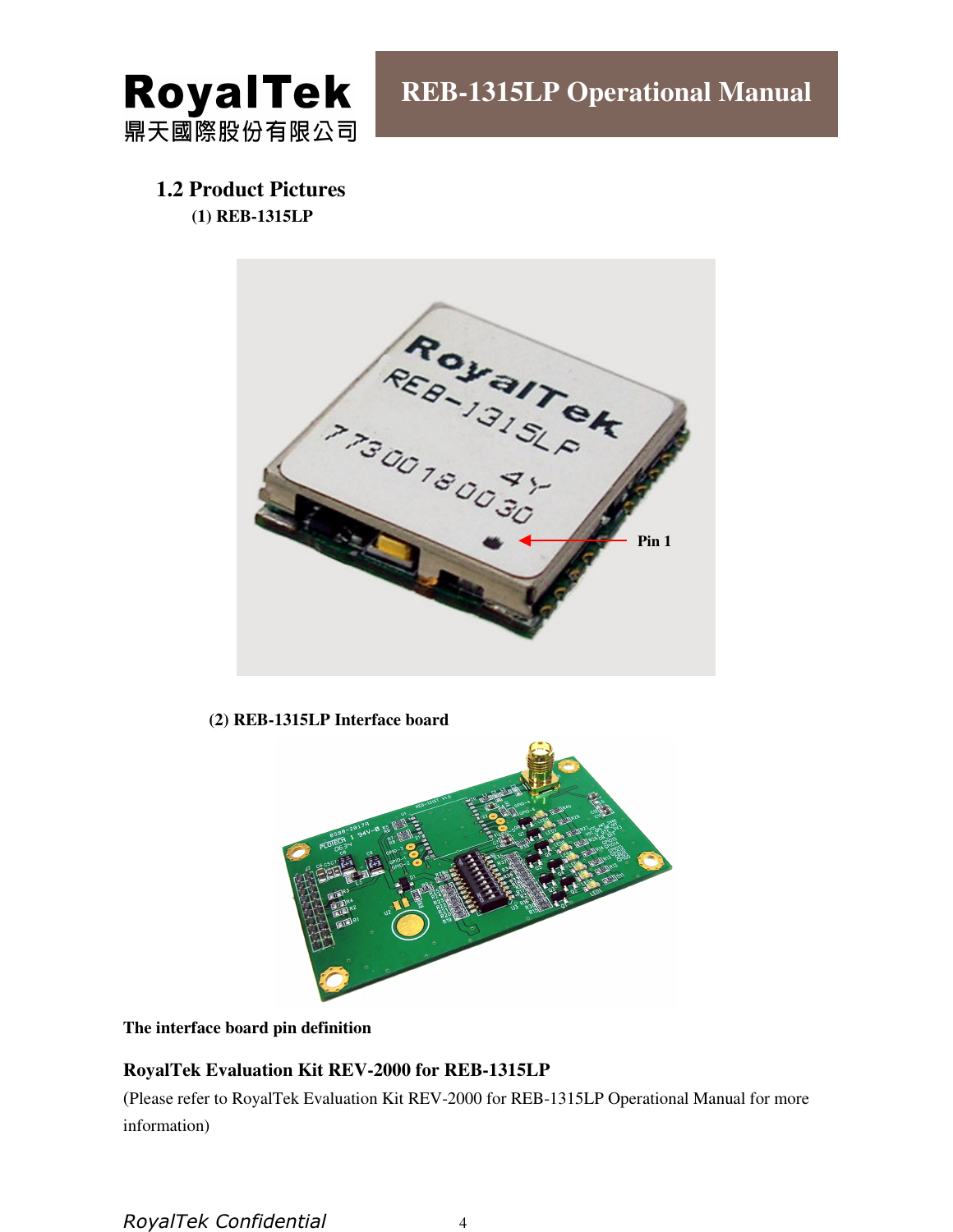

## **1.2 Product Pictures (1) REB-1315LP**



#### **(2) REB-1315LP Interface board**



**The interface board pin definition** 

#### **RoyalTek Evaluation Kit REV-2000 for REB-1315LP**

(Please refer to RoyalTek Evaluation Kit REV-2000 for REB-1315LP Operational Manual for more information)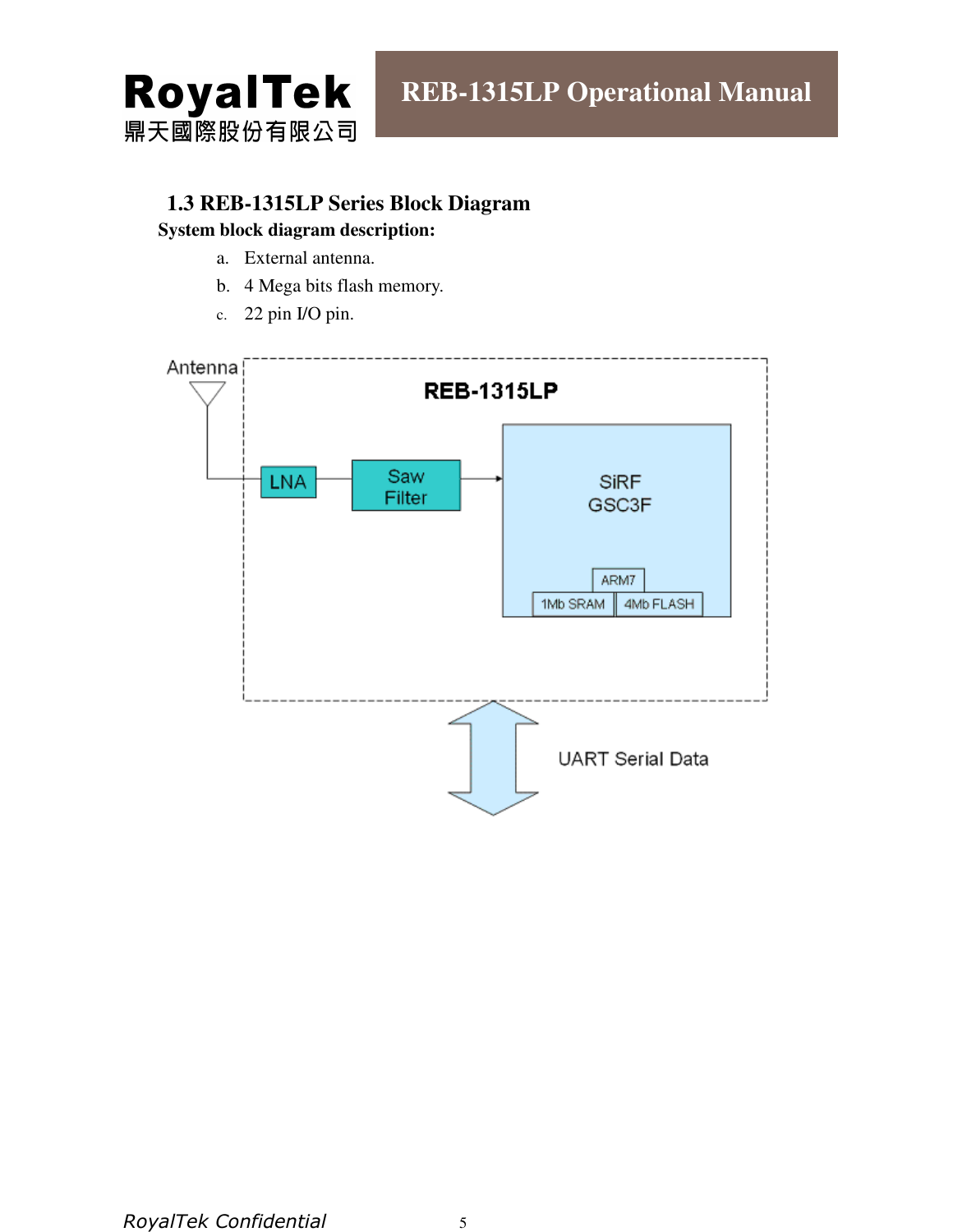

### **1.3 REB-1315LP Series Block Diagram**

#### **System block diagram description:**

- a. External antenna.
- b. 4 Mega bits flash memory.
- c. 22 pin I/O pin.

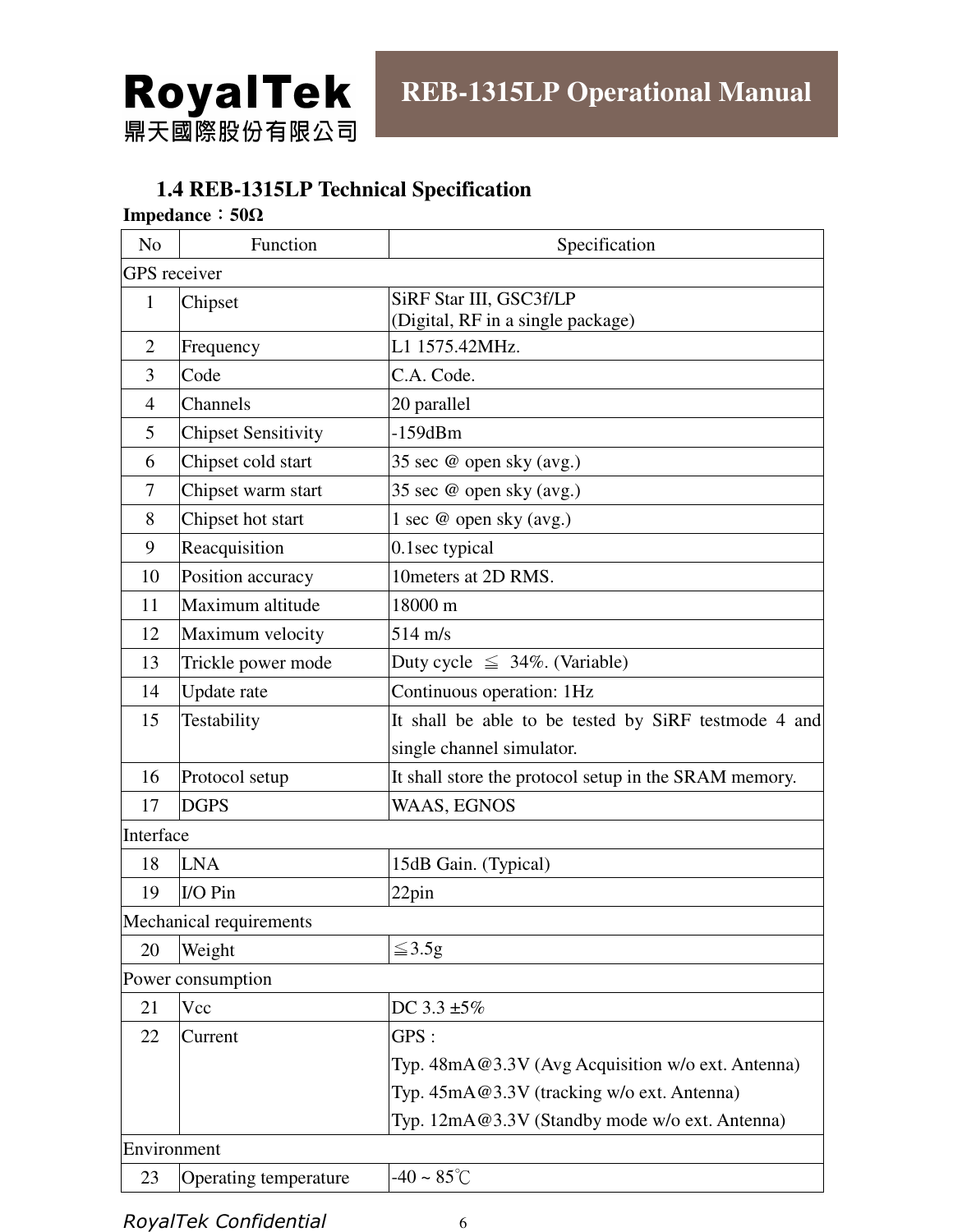

# **1.4 REB-1315LP Technical Specification**

## **Impedance**:**50**Ω

| N <sub>o</sub> | Function                   | Specification                                                |
|----------------|----------------------------|--------------------------------------------------------------|
|                | <b>GPS</b> receiver        |                                                              |
| $\mathbf{1}$   | Chipset                    | SiRF Star III, GSC3f/LP<br>(Digital, RF in a single package) |
| $\overline{2}$ | Frequency                  | L1 1575.42MHz.                                               |
| 3              | Code                       | C.A. Code.                                                   |
| $\overline{4}$ | Channels                   | 20 parallel                                                  |
| 5              | <b>Chipset Sensitivity</b> | $-159dBm$                                                    |
| 6              | Chipset cold start         | 35 sec @ open sky (avg.)                                     |
| 7              | Chipset warm start         | 35 sec @ open sky (avg.)                                     |
| 8              | Chipset hot start          | 1 sec @ open sky (avg.)                                      |
| 9              | Reacquisition              | 0.1sec typical                                               |
| 10             | Position accuracy          | 10 meters at 2D RMS.                                         |
| 11             | Maximum altitude           | 18000 m                                                      |
| 12             | Maximum velocity           | $514 \text{ m/s}$                                            |
| 13             | Trickle power mode         | Duty cycle $\leq 34\%$ . (Variable)                          |
| 14             | Update rate                | Continuous operation: 1Hz                                    |
| 15             | Testability                | It shall be able to be tested by SiRF testmode 4 and         |
|                |                            | single channel simulator.                                    |
| 16             | Protocol setup             | It shall store the protocol setup in the SRAM memory.        |
| 17             | <b>DGPS</b>                | WAAS, EGNOS                                                  |
| Interface      |                            |                                                              |
| 18             | <b>LNA</b>                 | 15dB Gain. (Typical)                                         |
| 19             | I/O Pin                    | 22pin                                                        |
|                | Mechanical requirements    |                                                              |
| 20             | Weight                     | $\leq 3.5g$                                                  |
|                | Power consumption          |                                                              |
| 21             | Vcc                        | DC $3.3 \pm 5\%$                                             |
| 22             | Current                    | GPS :                                                        |
|                |                            | Typ. 48mA@3.3V (Avg Acquisition w/o ext. Antenna)            |
|                |                            | Typ. 45mA@3.3V (tracking w/o ext. Antenna)                   |
|                |                            | Typ. 12mA@3.3V (Standby mode w/o ext. Antenna)               |
|                | Environment                |                                                              |
| 23             | Operating temperature      | -40 ~ $85^{\circ}$ C                                         |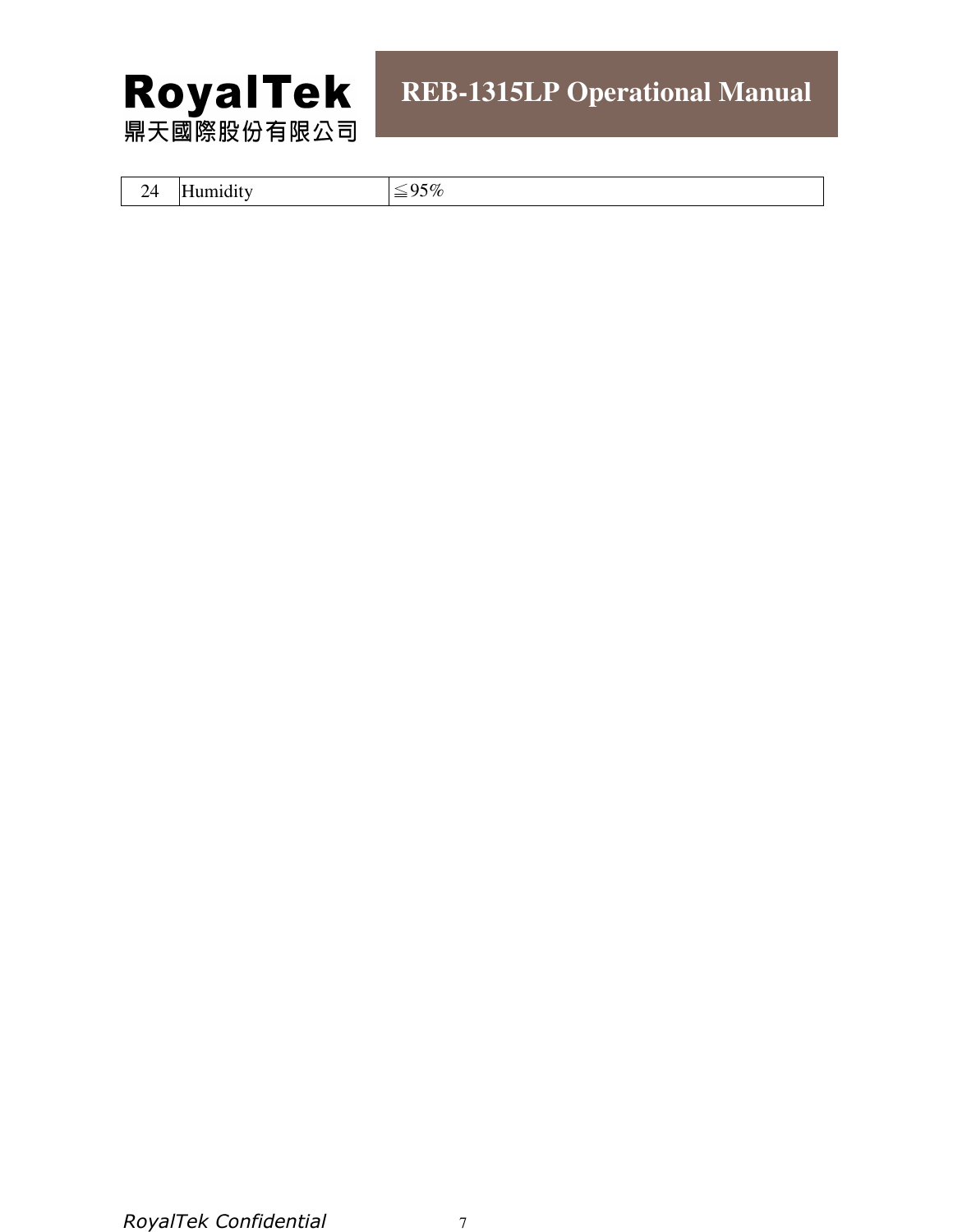

| 14<br>$\sim$ $\cdot$ | .<br>Humidity | 95%<br>$=$ |
|----------------------|---------------|------------|
|                      |               |            |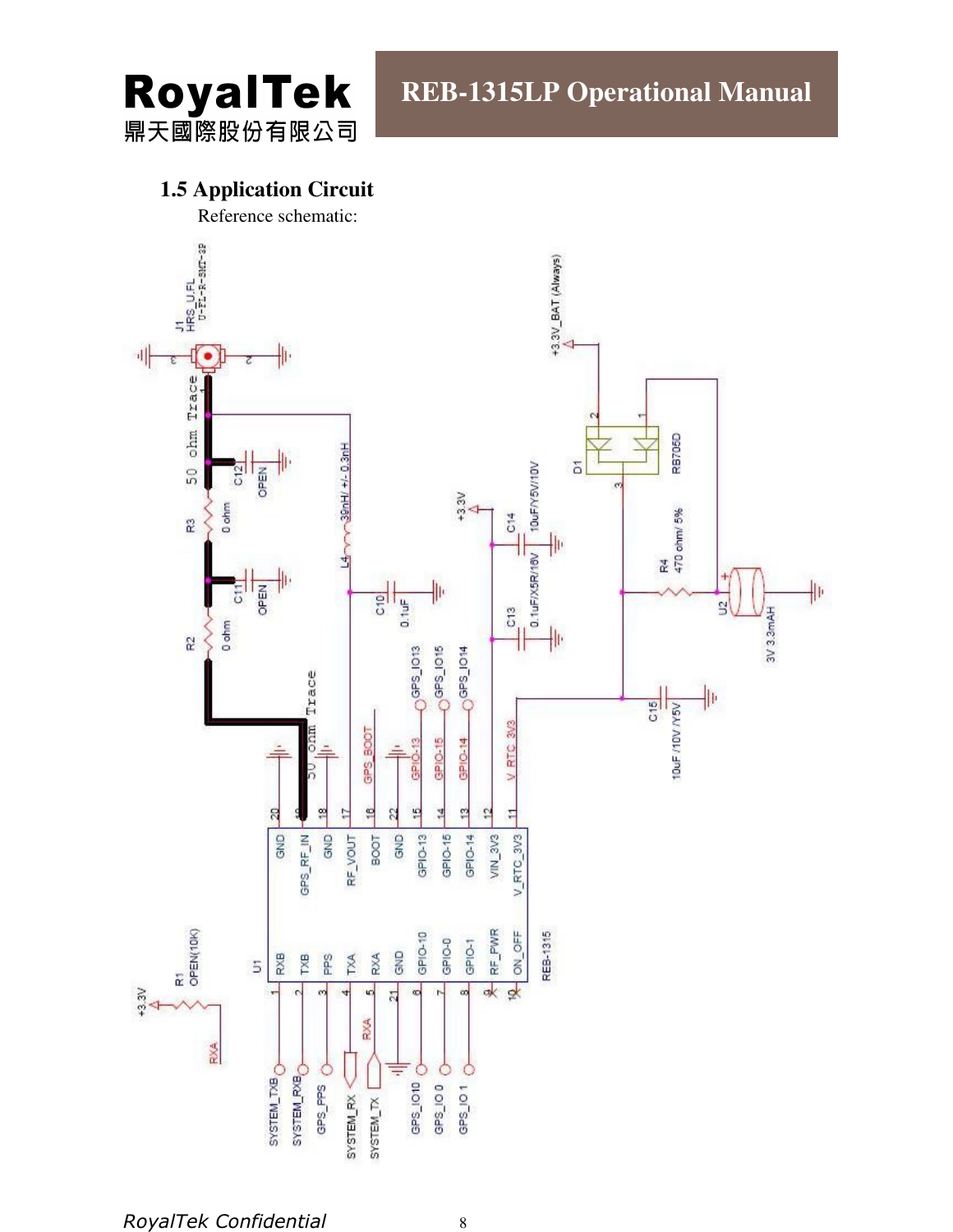

# **1.5 Application Circuit**

Reference schematic:

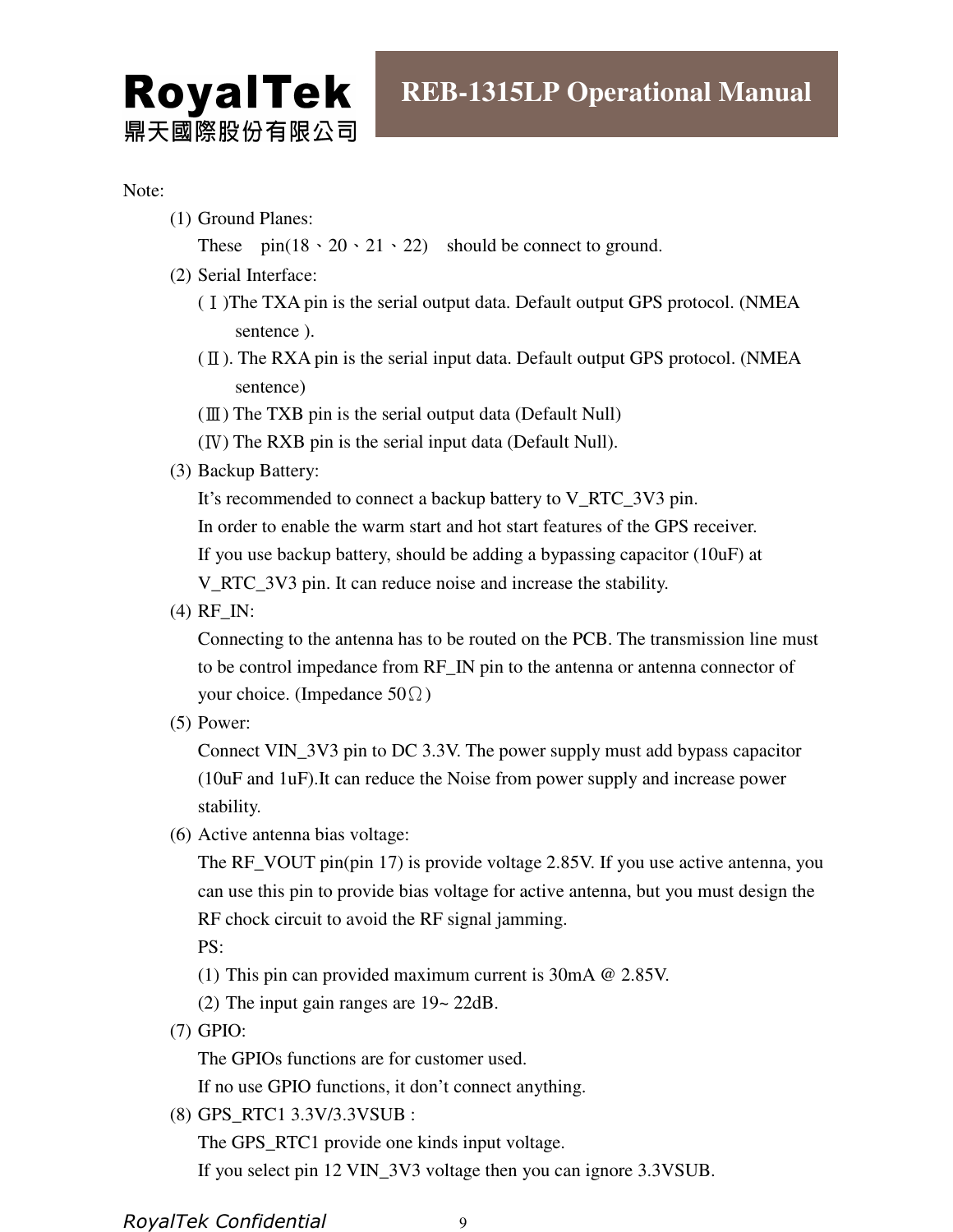# **REB-1315LP Operational Manual**

#### Note:

(1) Ground Planes:

**RoyalTek** 

鼎天國際股份有限公司

These  $pin(18 \cdot 20 \cdot 21 \cdot 22)$  should be connect to ground.

- (2) Serial Interface:
	- (Ⅰ)The TXA pin is the serial output data. Default output GPS protocol. (NMEA sentence ).
	- $(\Pi)$ . The RXA pin is the serial input data. Default output GPS protocol. (NMEA sentence)
	- (Ⅲ) The TXB pin is the serial output data (Default Null)
	- (Ⅳ) The RXB pin is the serial input data (Default Null).
- (3) Backup Battery:

It's recommended to connect a backup battery to V\_RTC\_3V3 pin.

In order to enable the warm start and hot start features of the GPS receiver.

If you use backup battery, should be adding a bypassing capacitor (10uF) at

V\_RTC\_3V3 pin. It can reduce noise and increase the stability.

(4) RF\_IN:

Connecting to the antenna has to be routed on the PCB. The transmission line must to be control impedance from RF\_IN pin to the antenna or antenna connector of your choice. (Impedance  $50\Omega$ )

(5) Power:

Connect VIN\_3V3 pin to DC 3.3V. The power supply must add bypass capacitor (10uF and 1uF).It can reduce the Noise from power supply and increase power stability.

(6) Active antenna bias voltage:

The RF\_VOUT pin(pin 17) is provide voltage 2.85V. If you use active antenna, you can use this pin to provide bias voltage for active antenna, but you must design the RF chock circuit to avoid the RF signal jamming.

PS:

- (1) This pin can provided maximum current is 30mA @ 2.85V.
- (2) The input gain ranges are 19~ 22dB.
- (7) GPIO:

The GPIOs functions are for customer used.

If no use GPIO functions, it don't connect anything.

(8) GPS\_RTC1 3.3V/3.3VSUB :

The GPS\_RTC1 provide one kinds input voltage.

If you select pin 12 VIN\_3V3 voltage then you can ignore 3.3VSUB.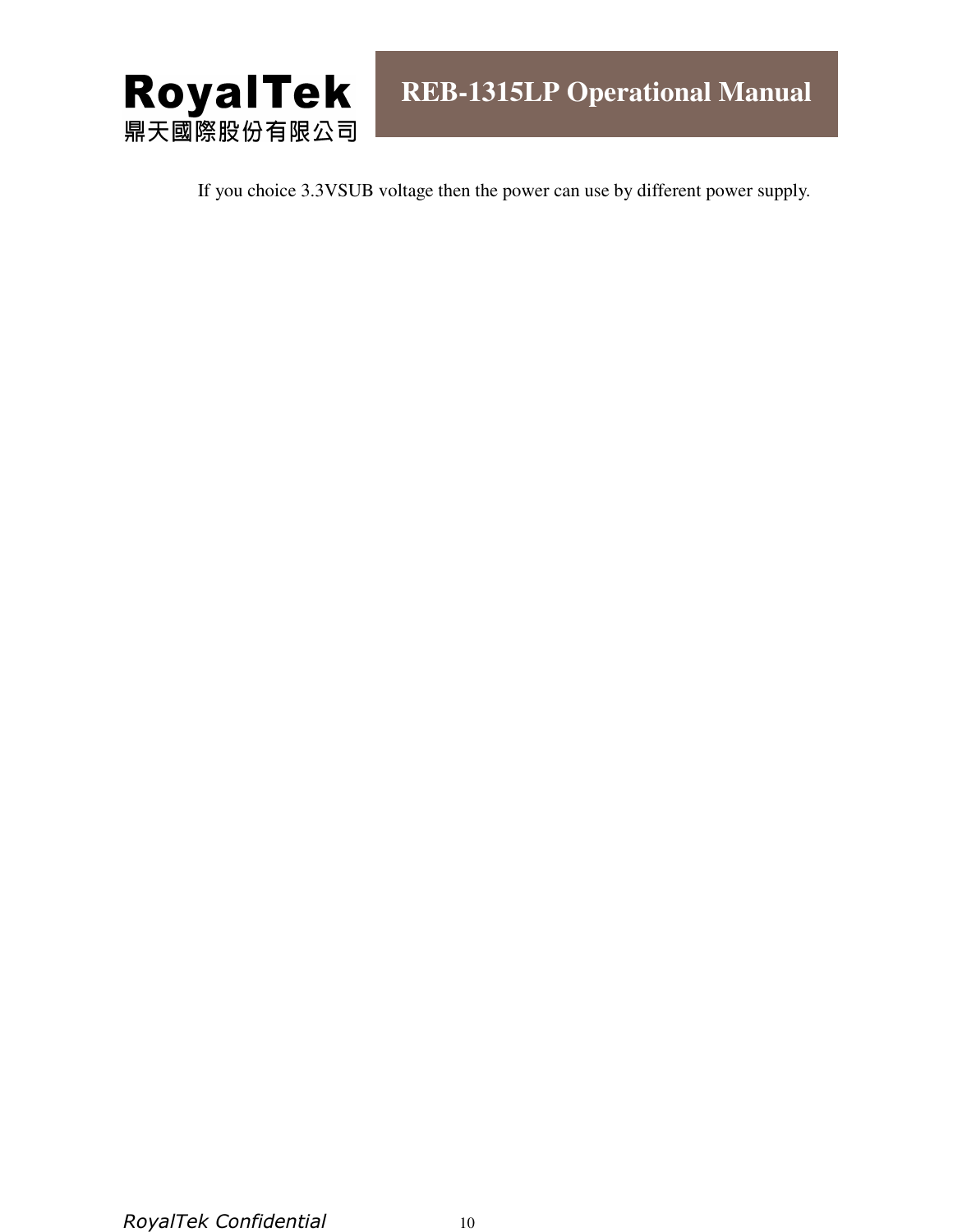

If you choice 3.3VSUB voltage then the power can use by different power supply.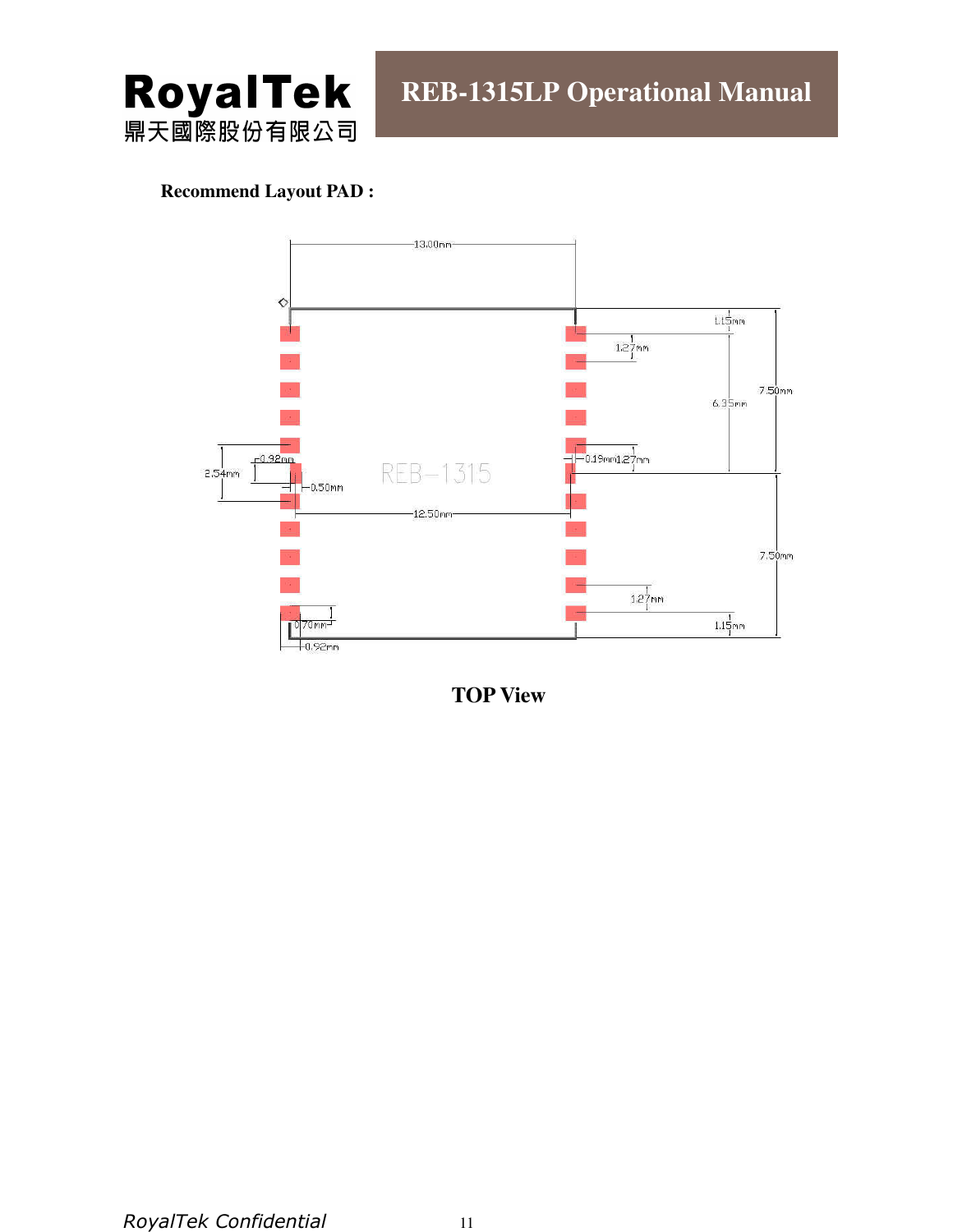

#### **Recommend Layout PAD :**



**TOP View**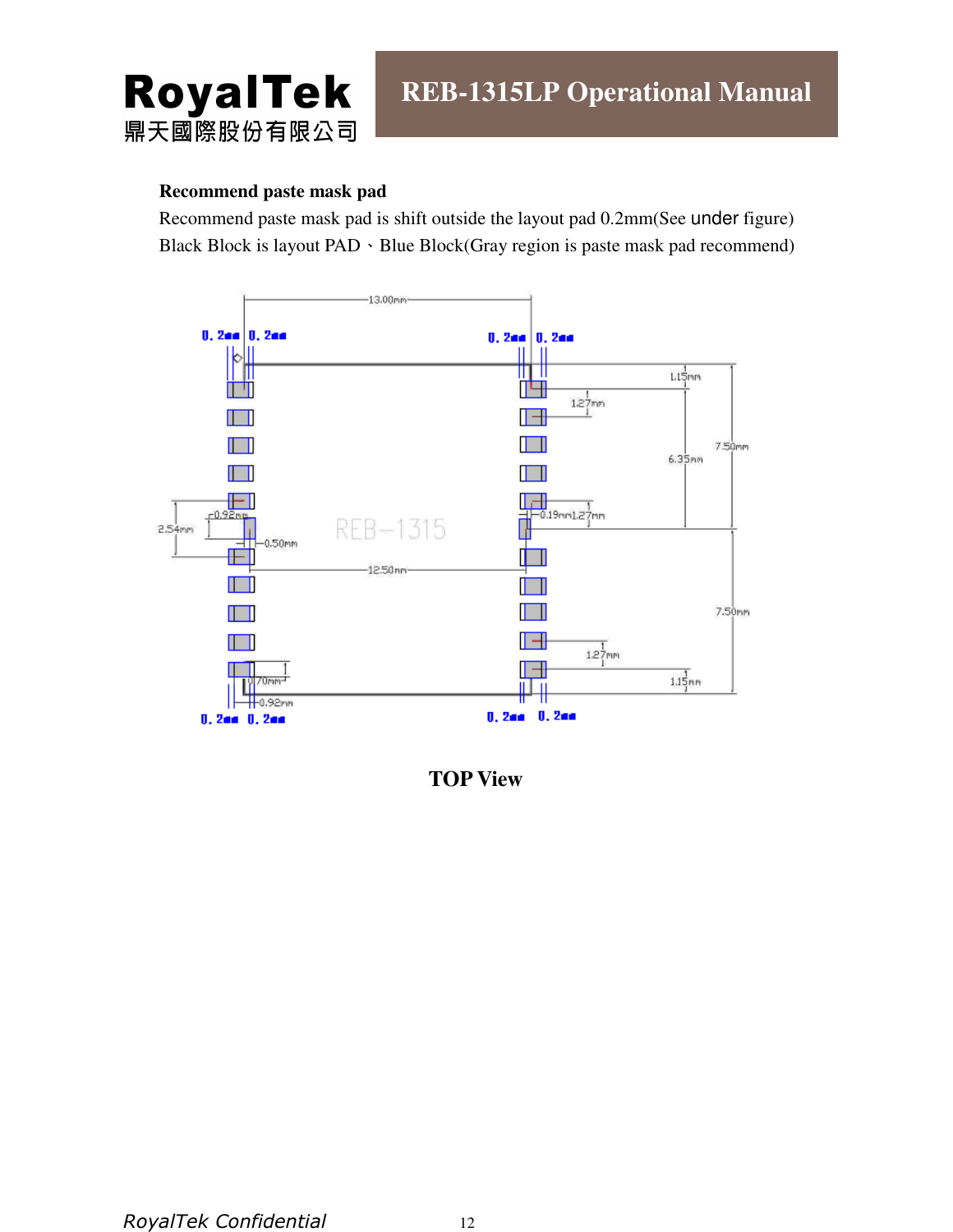

#### **Recommend paste mask pad**

Recommend paste mask pad is shift outside the layout pad 0.2mm(See under figure) Black Block is layout PAD · Blue Block(Gray region is paste mask pad recommend)



**TOP View**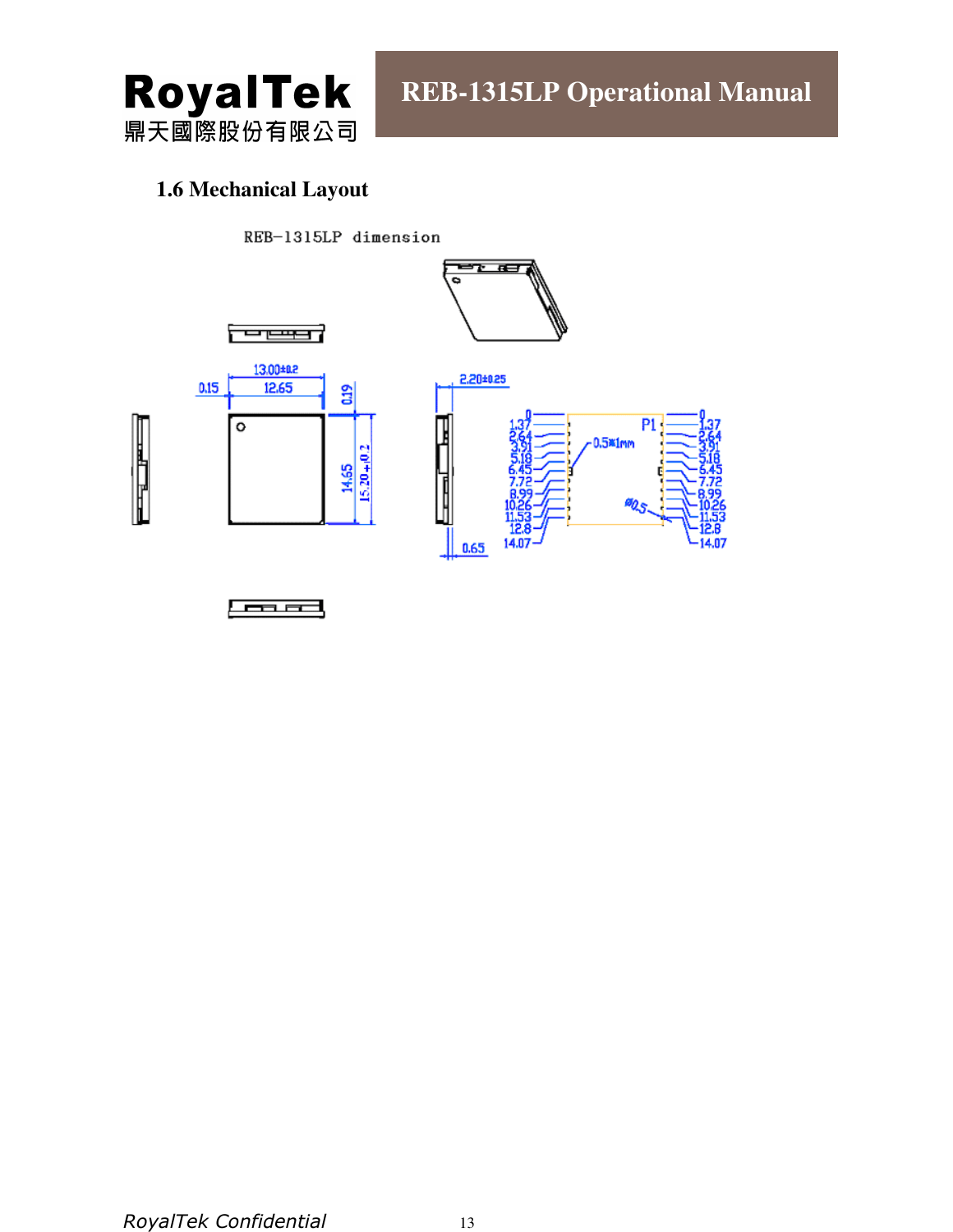

# **1.6 Mechanical Layout**

REB-1315LP dimension







**100 FM**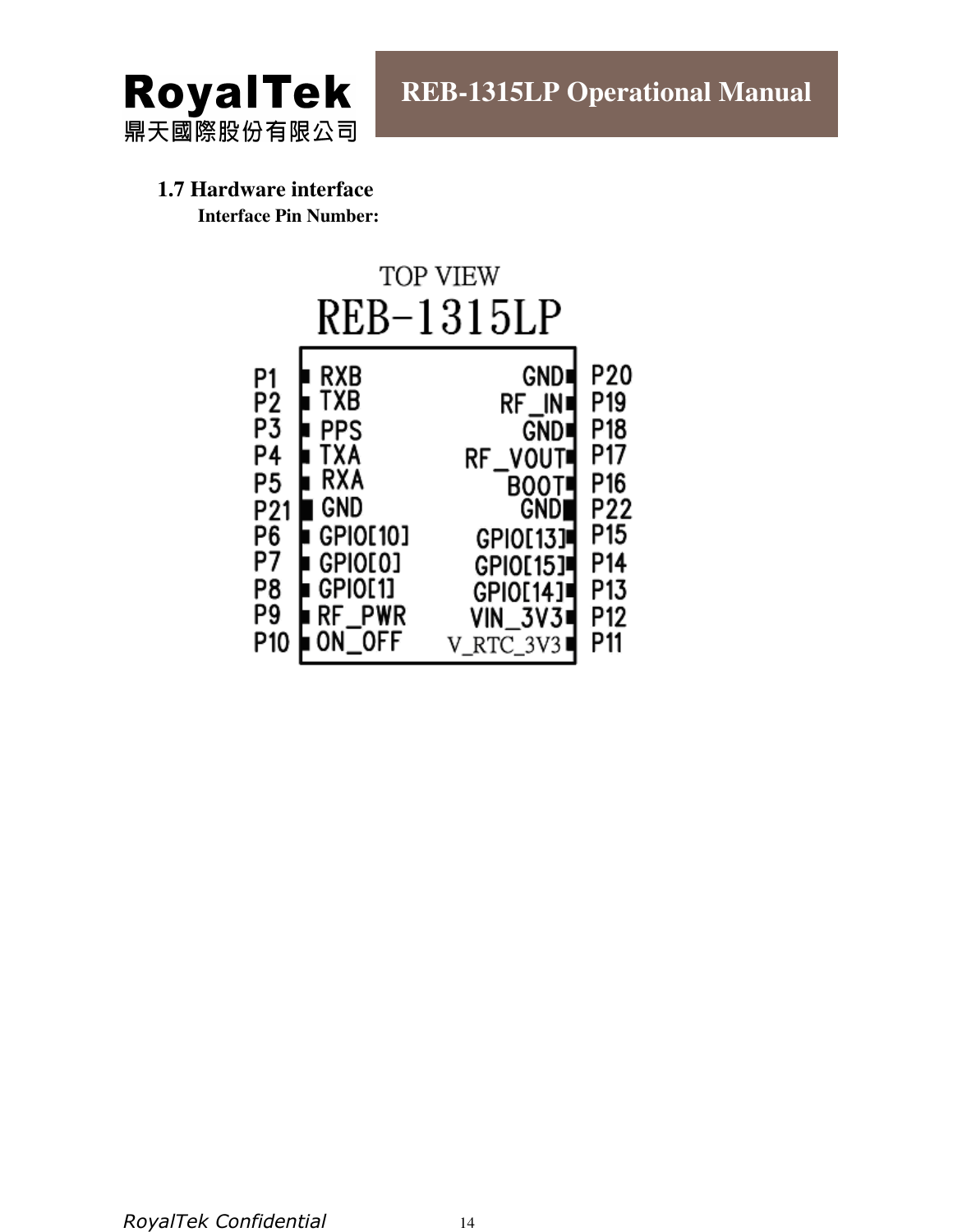

#### **1.7 Hardware interface Interface Pin Number:**

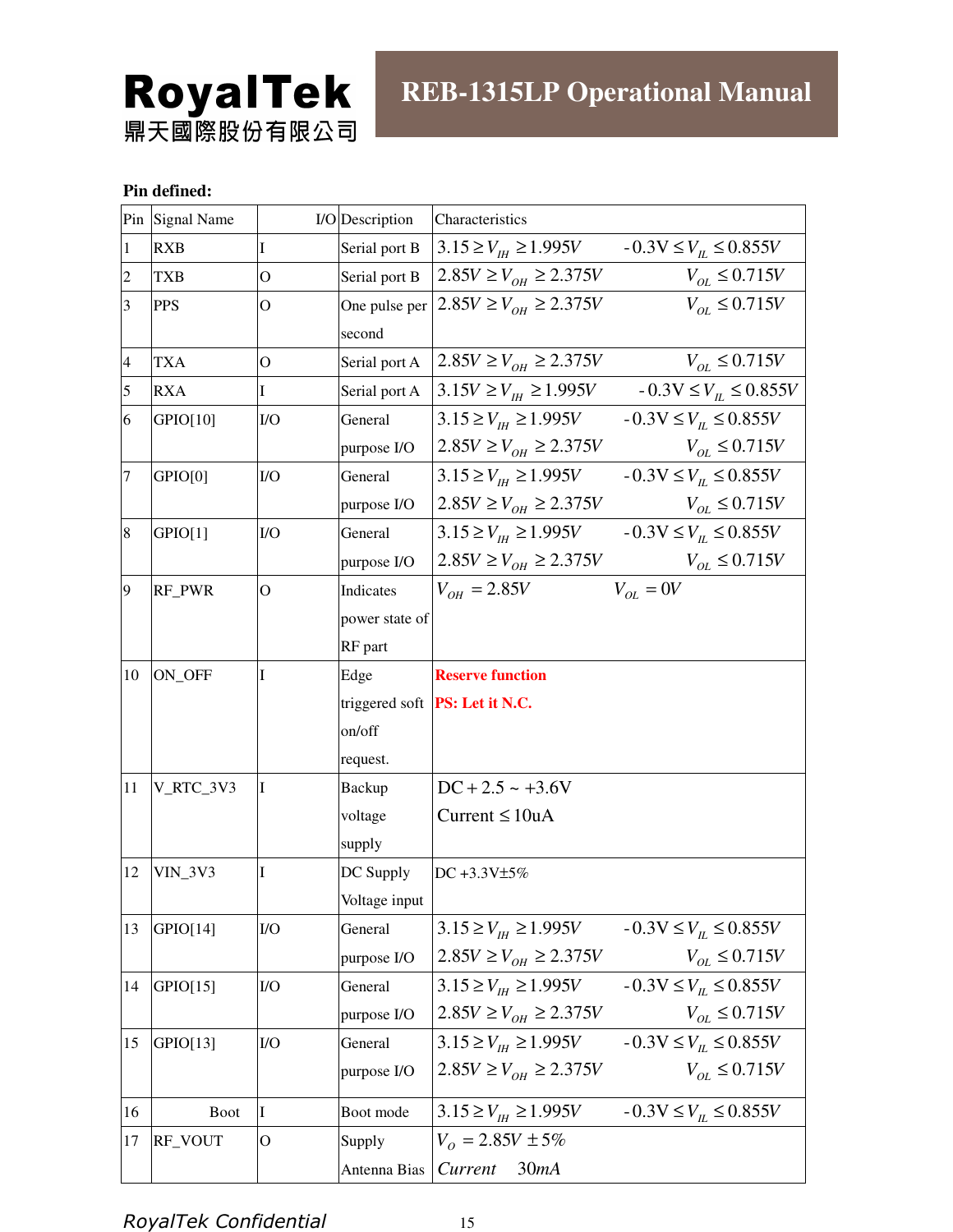# **RoyalTek**<br>鼎天國際股份有限公司

#### **Pin defined:**

|                         | Pin Signal Name |                | I/O Description | Characteristics                                                         |
|-------------------------|-----------------|----------------|-----------------|-------------------------------------------------------------------------|
| $\vert$ 1               | <b>RXB</b>      | I              | Serial port B   | $13.15 \ge V_{\text{H}} \ge 1.995V$ $-0.3V \le V_{\text{H}} \le 0.855V$ |
| $\overline{c}$          | <b>TXB</b>      | $\overline{O}$ | Serial port B   | $2.85V \ge V_{OH} \ge 2.375V$<br>$V_{OL} \le 0.715V$                    |
| $\overline{\mathbf{3}}$ | <b>PPS</b>      | О              | One pulse per   | $2.85V \ge V_{OH} \ge 2.375V$<br>$V_{OL} \le 0.715V$                    |
|                         |                 |                | second          |                                                                         |
| $\overline{4}$          | <b>TXA</b>      | O              | Serial port A   | $2.85V \ge V_{OH} \ge 2.375V$<br>$V_{OL} \le 0.715V$                    |
| 5                       | <b>RXA</b>      | $\mathbf I$    | Serial port A   | $3.15V \ge V_{H} \ge 1.995V$ $-0.3V \le V_{H} \le 0.855V$               |
| 6                       | GPIO[10]        | I/O            | General         | $3.15 \ge V_{th} \ge 1.995V$ $-0.3V \le V_{th} \le 0.855V$              |
|                         |                 |                | purpose I/O     | $2.85V \ge V_{OH} \ge 2.375V$<br>$V_{OL} \le 0.715V$                    |
| 7                       | GPIO[0]         | I/O            | General         | $3.15 \ge V_{th} \ge 1.995V$ $-0.3V \le V_{th} \le 0.855V$              |
|                         |                 |                | purpose I/O     | $2.85V \ge V_{OH} \ge 2.375V$<br>$V_{OL} \le 0.715V$                    |
| 8                       | GPIO[1]         | I/O            | General         | $3.15 \ge V_{th} \ge 1.995V$ $-0.3V \le V_{th} \le 0.855V$              |
|                         |                 |                | purpose I/O     | $2.85V \ge V_{OH} \ge 2.375V$<br>$V_{OL} \leq 0.715V$                   |
| 9                       | RF_PWR          | O              | Indicates       | $V_{OL} = 0V$<br>$V_{OH} = 2.85V$                                       |
|                         |                 |                | power state of  |                                                                         |
|                         |                 |                | RF part         |                                                                         |
| 10                      | ON_OFF          | I              | Edge            | <b>Reserve function</b>                                                 |
|                         |                 |                |                 | triggered soft <b>PS:</b> Let it N.C.                                   |
|                         |                 |                | on/off          |                                                                         |
|                         |                 |                | request.        |                                                                         |
| <sup>11</sup>           | V_RTC_3V3       | I              | <b>Backup</b>   | $DC + 2.5 \sim +3.6V$                                                   |
|                         |                 |                | voltage         | Current $\leq 10uA$                                                     |
|                         |                 |                | supply          |                                                                         |
| 12                      | $VIN_3V3$       | I              | DC Supply       | DC +3.3V±5%                                                             |
|                         |                 |                | Voltage input   |                                                                         |
| 13                      | GPIO[14]        | I/O            | General         | $3.15 \ge V_{\mu} \ge 1.995V$<br>$-0.3V \le V_{\text{H}} \le 0.855V$    |
|                         |                 |                | purpose I/O     | $2.85V \ge V_{OH} \ge 2.375V$<br>$V_{OL} \le 0.715V$                    |
| 14                      | GPIO[15]        | $IVO$          | General         | $-0.3V \le V_{\mu} \le 0.855V$<br>$3.15 \ge V_{\text{H}} \ge 1.995V$    |
|                         |                 |                | purpose I/O     | $2.85V \ge V_{OH} \ge 2.375V$<br>$V_{OL} \le 0.715V$                    |
| 15                      | GPIO[13]        | I/O            | General         | $3.15 \ge V_{th} \ge 1.995V$ $-0.3V \le V_{th} \le 0.855V$              |
|                         |                 |                | purpose I/O     | $2.85V \ge V_{OH} \ge 2.375V$<br>$V_{OL} \le 0.715V$                    |
| 16                      | <b>Boot</b>     | I              | Boot mode       | $-0.3V \le V_L \le 0.855V$<br>$3.15 \ge V_{\text{th}} \ge 1.995V$       |
| 17                      | RF_VOUT         | O              | Supply          | $V_0 = 2.85V \pm 5\%$                                                   |
|                         |                 |                | Antenna Bias    | Current<br>30mA                                                         |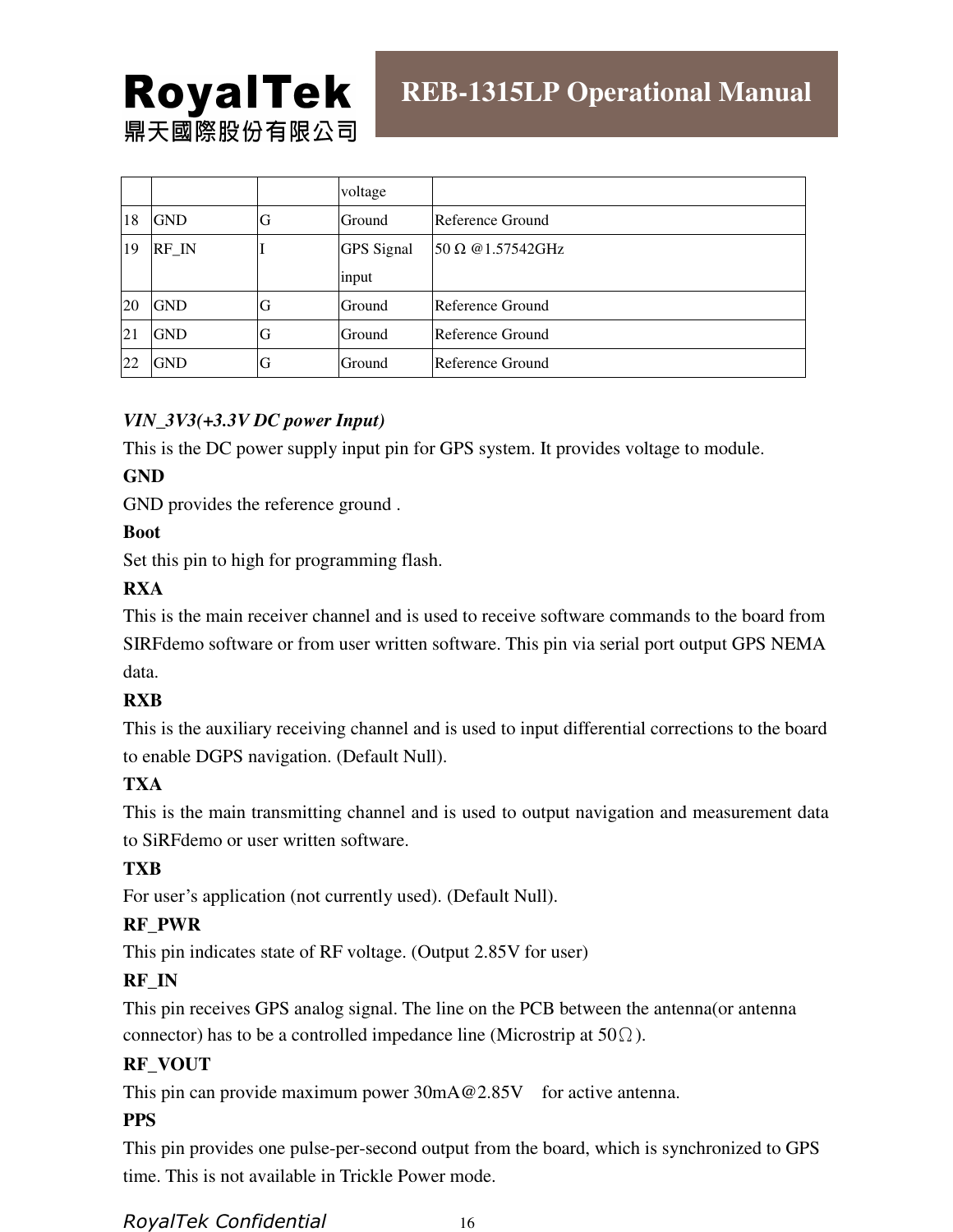# **RoyalTek** 鼎天國際股份有限公司

|           |            |    | voltage           |                                |
|-----------|------------|----|-------------------|--------------------------------|
| 18        | <b>GND</b> | G  | Ground            | Reference Ground               |
| 19        | RF IN      |    | <b>GPS</b> Signal | $50 \Omega \omega 1.57542$ GHz |
|           |            |    | input             |                                |
| <b>20</b> | <b>GND</b> | G  | Ground            | Reference Ground               |
| 21        | <b>GND</b> | ίÌ | Ground            | Reference Ground               |
| 22        | <b>GND</b> | ιŤ | Ground            | Reference Ground               |

#### *VIN\_3V3(+3.3V DC power Input)*

This is the DC power supply input pin for GPS system. It provides voltage to module.

#### **GND**

GND provides the reference ground .

#### **Boot**

Set this pin to high for programming flash.

#### **RXA**

This is the main receiver channel and is used to receive software commands to the board from SIRFdemo software or from user written software. This pin via serial port output GPS NEMA data.

#### **RXB**

This is the auxiliary receiving channel and is used to input differential corrections to the board to enable DGPS navigation. (Default Null).

#### **TXA**

This is the main transmitting channel and is used to output navigation and measurement data to SiRFdemo or user written software.

#### **TXB**

For user's application (not currently used). (Default Null).

#### **RF\_PWR**

This pin indicates state of RF voltage. (Output 2.85V for user)

#### **RF\_IN**

This pin receives GPS analog signal. The line on the PCB between the antenna(or antenna connector) has to be a controlled impedance line (Microstrip at  $50\Omega$ ).

#### **RF\_VOUT**

This pin can provide maximum power 30mA@2.85V for active antenna.

#### **PPS**

This pin provides one pulse-per-second output from the board, which is synchronized to GPS time. This is not available in Trickle Power mode.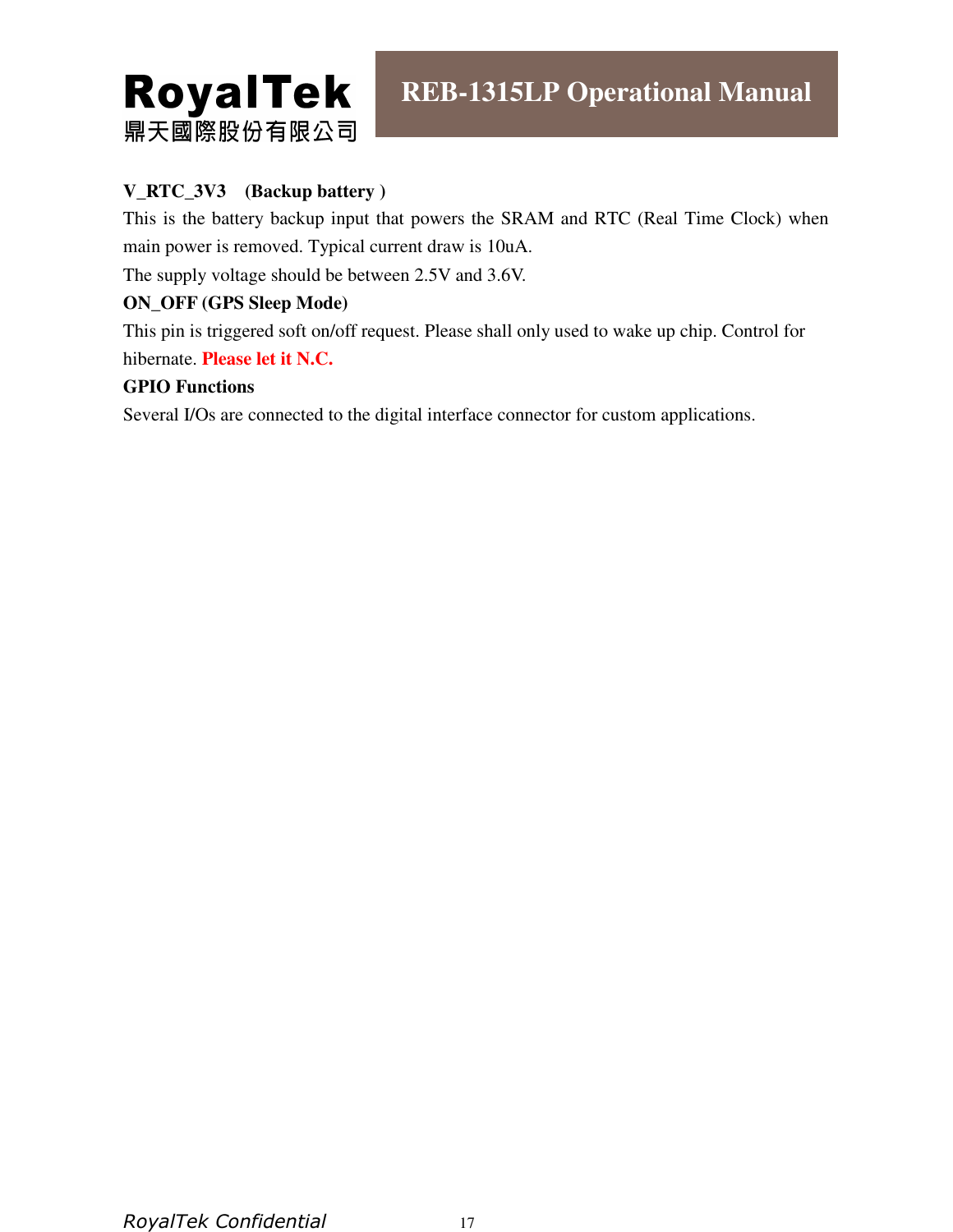

## **V\_RTC\_3V3 (Backup battery )**

This is the battery backup input that powers the SRAM and RTC (Real Time Clock) when main power is removed. Typical current draw is 10uA.

The supply voltage should be between 2.5V and 3.6V.

#### **ON\_OFF (GPS Sleep Mode)**

This pin is triggered soft on/off request. Please shall only used to wake up chip. Control for hibernate. **Please let it N.C.**

#### **GPIO Functions**

Several I/Os are connected to the digital interface connector for custom applications.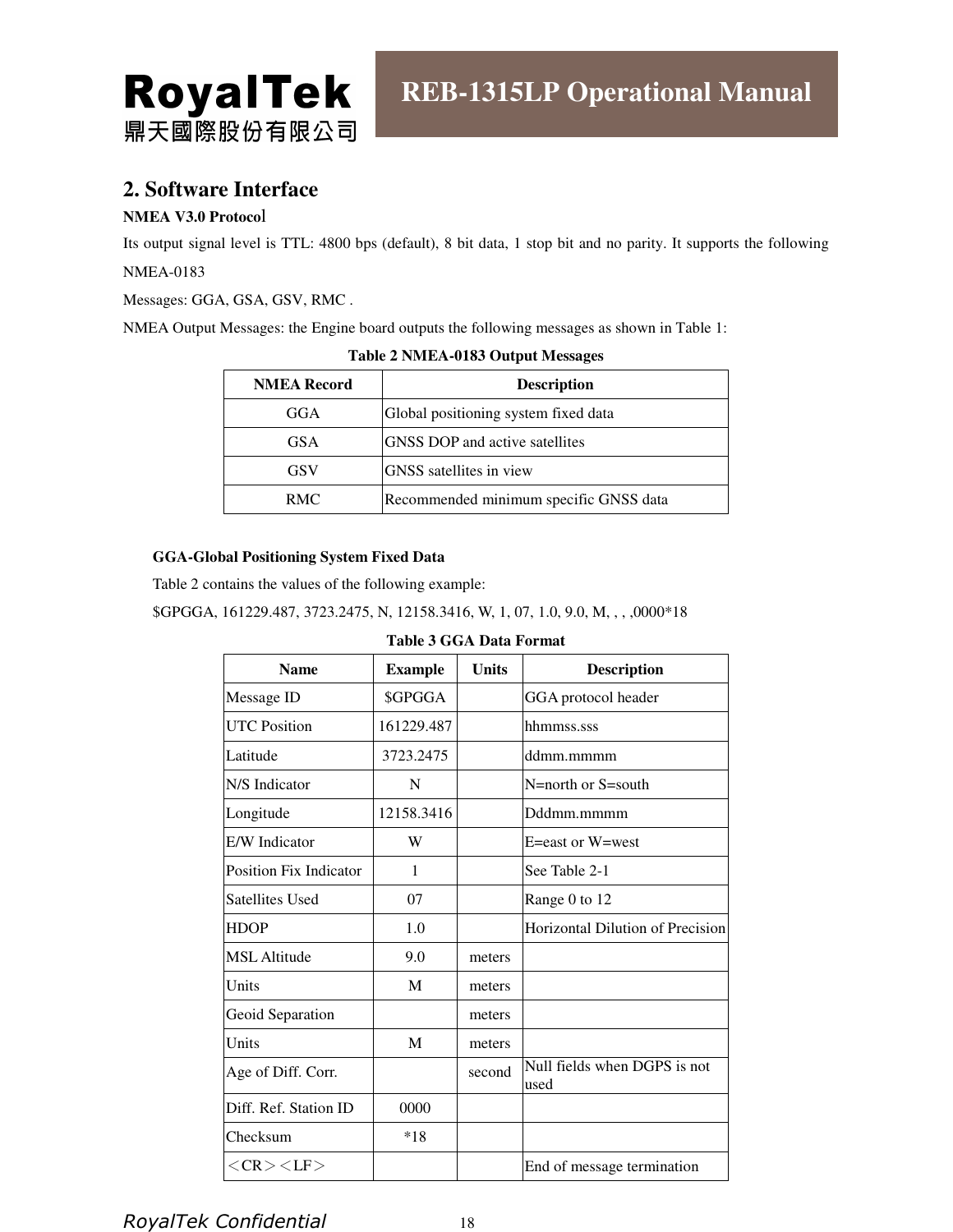

## **2. Software Interface**

#### **NMEA V3.0 Protoco**l

Its output signal level is TTL: 4800 bps (default), 8 bit data, 1 stop bit and no parity. It supports the following NMEA-0183

Messages: GGA, GSA, GSV, RMC .

NMEA Output Messages: the Engine board outputs the following messages as shown in Table 1:

| <b>NMEA Record</b> | <b>Description</b>                     |
|--------------------|----------------------------------------|
| GGA                | Global positioning system fixed data   |
| <b>GSA</b>         | <b>GNSS DOP</b> and active satellites  |
| <b>GSV</b>         | <b>GNSS</b> satellites in view         |
| RMC.               | Recommended minimum specific GNSS data |

**Table 2 NMEA-0183 Output Messages** 

#### **GGA-Global Positioning System Fixed Data**

Table 2 contains the values of the following example:

\$GPGGA, 161229.487, 3723.2475, N, 12158.3416, W, 1, 07, 1.0, 9.0, M, , , ,0000\*18

#### **Table 3 GGA Data Format**

| <b>Name</b>                   | <b>Example</b> | <b>Units</b> | <b>Description</b>                   |
|-------------------------------|----------------|--------------|--------------------------------------|
| Message ID                    | \$GPGGA        |              | GGA protocol header                  |
| <b>UTC Position</b>           | 161229.487     |              | hhmmss.sss                           |
| Latitude                      | 3723.2475      |              | ddmm.mmmm                            |
| N/S Indicator                 | N              |              | N=north or S=south                   |
| Longitude                     | 12158.3416     |              | Dddmm.mmmm                           |
| E/W Indicator                 | W              |              | E=east or W=west                     |
| <b>Position Fix Indicator</b> | 1              |              | See Table 2-1                        |
| <b>Satellites Used</b>        | 07             |              | Range 0 to 12                        |
| <b>HDOP</b>                   | 1.0            |              | Horizontal Dilution of Precision     |
| <b>MSL</b> Altitude           | 9.0            | meters       |                                      |
| Units                         | M              | meters       |                                      |
| Geoid Separation              |                | meters       |                                      |
| Units                         | M              | meters       |                                      |
| Age of Diff. Corr.            |                | second       | Null fields when DGPS is not<br>used |
| Diff. Ref. Station ID         | 0000           |              |                                      |
| Checksum                      | $*18$          |              |                                      |
| $<$ CR $>$ $<$ LF $>$         |                |              | End of message termination           |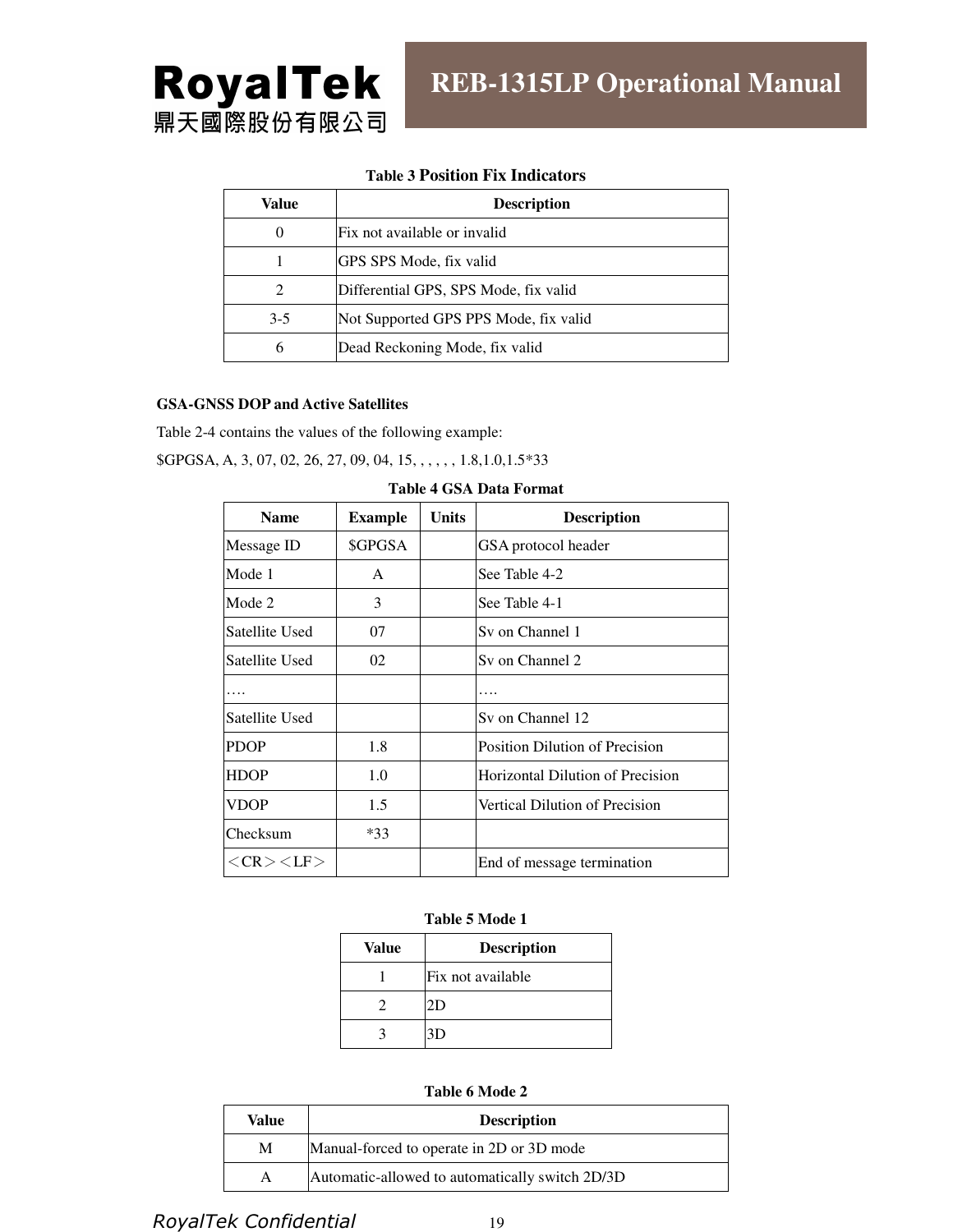

#### **Table 3 Position Fix Indicators**

| Value    | <b>Description</b>                    |  |
|----------|---------------------------------------|--|
| $\theta$ | Fix not available or invalid          |  |
|          | GPS SPS Mode, fix valid               |  |
| 2        | Differential GPS, SPS Mode, fix valid |  |
| $3-5$    | Not Supported GPS PPS Mode, fix valid |  |
| 6        | Dead Reckoning Mode, fix valid        |  |

#### **GSA-GNSS DOP and Active Satellites**

Table 2-4 contains the values of the following example:

\$GPGSA, A, 3, 07, 02, 26, 27, 09, 04, 15, , , , , , 1.8,1.0,1.5\*33

| <b>Name</b>             | <b>Example</b> | Units | <b>Description</b>                    |
|-------------------------|----------------|-------|---------------------------------------|
| Message ID              | \$GPGSA        |       | GSA protocol header                   |
| Mode 1                  | A              |       | See Table 4-2                         |
| Mode 2                  | 3              |       | See Table 4-1                         |
| Satellite Used          | 07             |       | Sy on Channel 1                       |
| Satellite Used          | 02             |       | Sy on Channel 2                       |
|                         |                |       |                                       |
| Satellite Used          |                |       | Sy on Channel 12                      |
| <b>PDOP</b>             | 1.8            |       | <b>Position Dilution of Precision</b> |
| <b>HDOP</b>             | 1.0            |       | Horizontal Dilution of Precision      |
| <b>VDOP</b>             | 1.5            |       | Vertical Dilution of Precision        |
| Checksum                | $*33$          |       |                                       |
| $<<$ CR $><$ $<$ LF $>$ |                |       | End of message termination            |

|  |  |  |  |  | Table 4 GSA Data Format |
|--|--|--|--|--|-------------------------|
|--|--|--|--|--|-------------------------|

#### **Table 5 Mode 1**

| Value | <b>Description</b> |
|-------|--------------------|
|       | lFix not available |
|       | 2D                 |
|       | 3D                 |

**Table 6 Mode 2** 

| Value | <b>Description</b>                              |  |
|-------|-------------------------------------------------|--|
| М     | Manual-forced to operate in 2D or 3D mode       |  |
| A     | Automatic-allowed to automatically switch 2D/3D |  |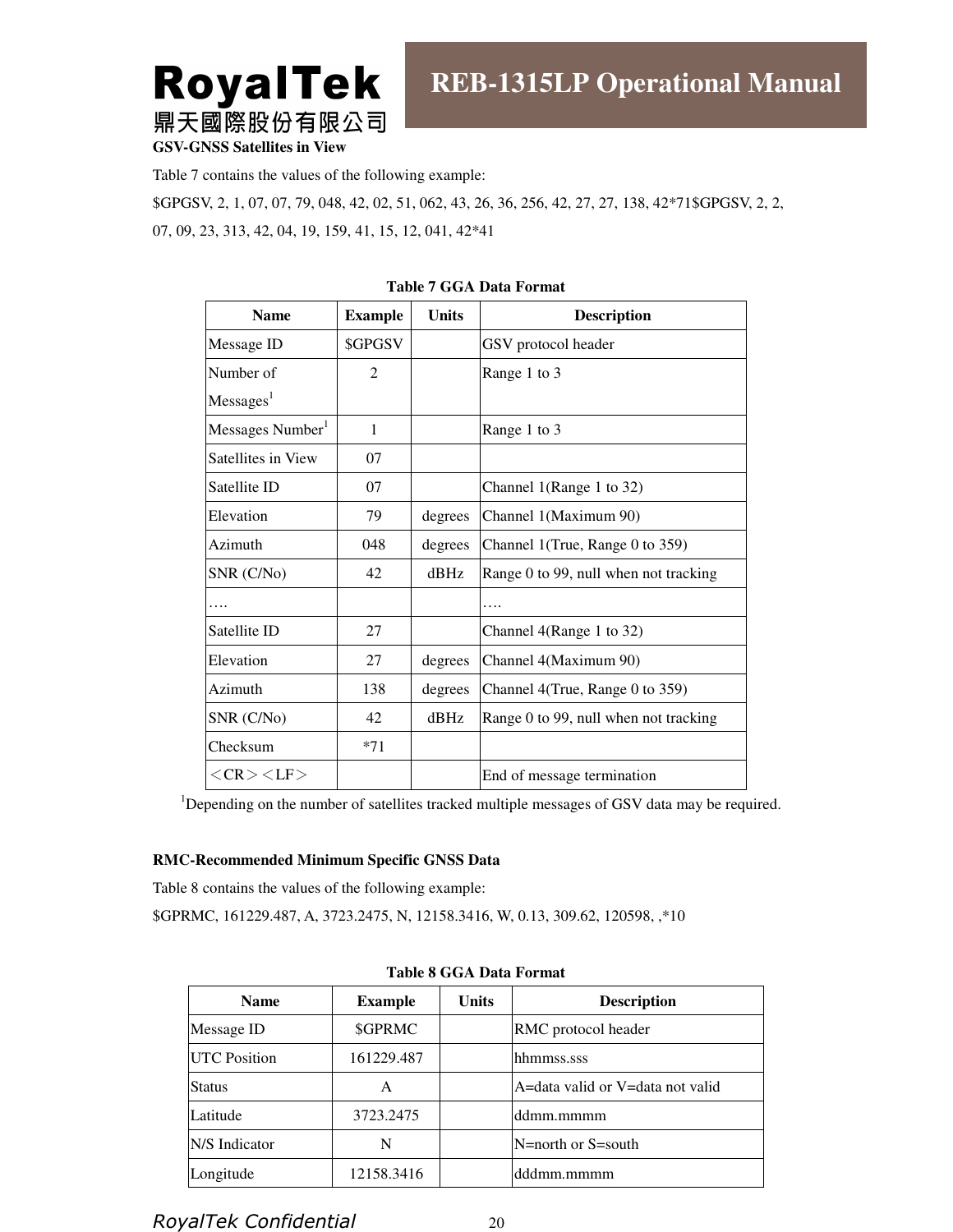**RoyalTek** 鼎天國際股份有限公司

**GSV-GNSS Satellites in View**

Table 7 contains the values of the following example:

\$GPGSV, 2, 1, 07, 07, 79, 048, 42, 02, 51, 062, 43, 26, 36, 256, 42, 27, 27, 138, 42\*71\$GPGSV, 2, 2, 07, 09, 23, 313, 42, 04, 19, 159, 41, 15, 12, 041, 42\*41

| <b>Name</b>                  | <b>Example</b> | <b>Units</b> | <b>Description</b>                    |
|------------------------------|----------------|--------------|---------------------------------------|
| Message ID                   | \$GPGSV        |              | GSV protocol header                   |
| Number of                    | 2              |              | Range 1 to 3                          |
| Messages <sup>1</sup>        |                |              |                                       |
| Messages Number <sup>1</sup> | 1              |              | Range 1 to 3                          |
| Satellites in View           | 07             |              |                                       |
| Satellite ID                 | 07             |              | Channel 1(Range 1 to 32)              |
| Elevation                    | 79             | degrees      | Channel 1(Maximum 90)                 |
| Azimuth                      | 048            | degrees      | Channel 1(True, Range 0 to 359)       |
| SNR (C/No)                   | 42             | $d$ BHz      | Range 0 to 99, null when not tracking |
|                              |                |              |                                       |
| Satellite ID                 | 27             |              | Channel 4(Range 1 to 32)              |
| Elevation                    | 27             | degrees      | Channel 4(Maximum 90)                 |
| Azimuth                      | 138            | degrees      | Channel 4(True, Range 0 to 359)       |
| SNR (C/No)                   | 42             | $d$ BHz      | Range 0 to 99, null when not tracking |
| Checksum                     | $*71$          |              |                                       |
| $<$ CR $>$ $<$ LF $>$        |                |              | End of message termination            |

**Table 7 GGA Data Format** 

<sup>1</sup>Depending on the number of satellites tracked multiple messages of GSV data may be required.

#### **RMC-Recommended Minimum Specific GNSS Data**

Table 8 contains the values of the following example:

\$GPRMC, 161229.487, A, 3723.2475, N, 12158.3416, W, 0.13, 309.62, 120598, ,\*10

| <b>Name</b>         | <b>Example</b> | <b>Units</b> | <b>Description</b>               |
|---------------------|----------------|--------------|----------------------------------|
| Message ID          | \$GPRMC        |              | RMC protocol header              |
| <b>UTC</b> Position | 161229.487     |              | hhmmss.sss                       |
| <b>Status</b>       | A              |              | A=data valid or V=data not valid |
| Latitude            | 3723.2475      |              | ddmm.mmmm                        |
| N/S Indicator       | N              |              | $N =$ north or $S =$ south       |
| Longitude           | 12158.3416     |              | dddmm.mmmm                       |

**Table 8 GGA Data Format**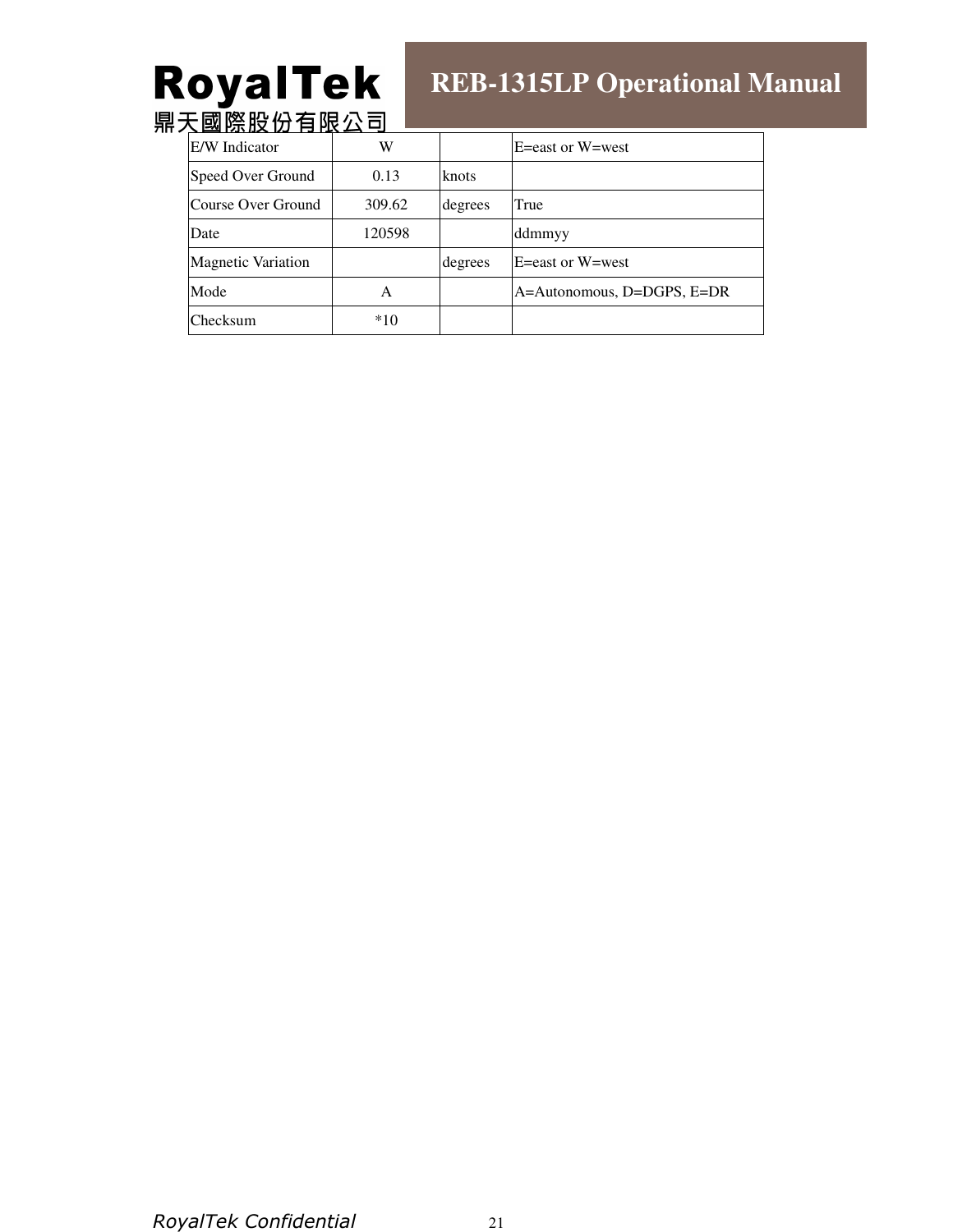# **RoyalTek**<br>鼎天國際股份有限公司

# **REB-1315LP Operational Manual**

| E/W Indicator             | W      |         | $E = east$ or $W = west$   |
|---------------------------|--------|---------|----------------------------|
| Speed Over Ground         | 0.13   | knots   |                            |
| Course Over Ground        | 309.62 | degrees | True                       |
| Date                      | 120598 |         | ddmmyy                     |
| <b>Magnetic Variation</b> |        | degrees | $E = east$ or $W = west$   |
| Mode                      | A      |         | A=Autonomous, D=DGPS, E=DR |
| Checksum                  | $*10$  |         |                            |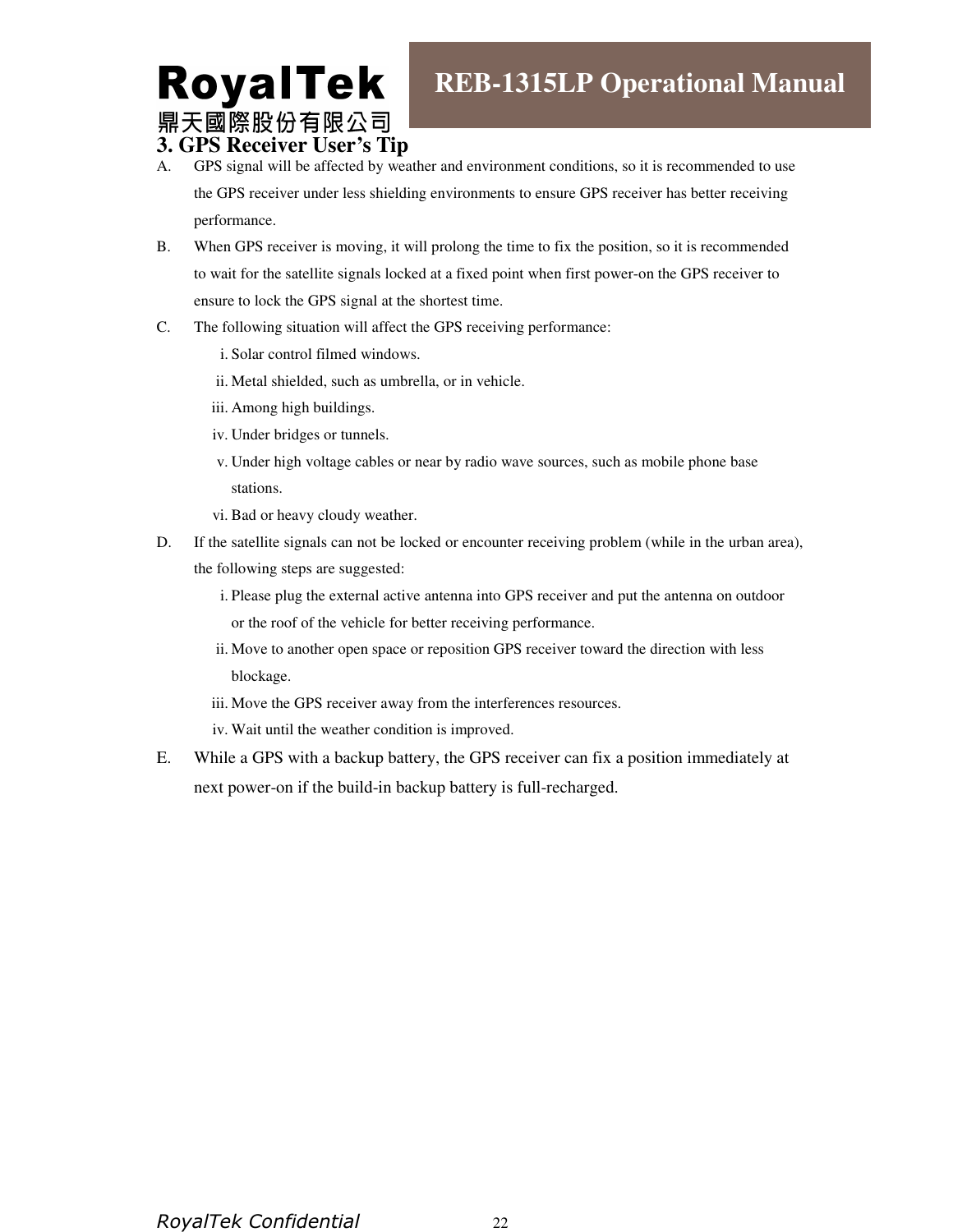# **RoyalTek** 鼎天國際股份有限公司

**3. GPS Receiver User's Tip** 

- A. GPS signal will be affected by weather and environment conditions, so it is recommended to use the GPS receiver under less shielding environments to ensure GPS receiver has better receiving performance.
- B. When GPS receiver is moving, it will prolong the time to fix the position, so it is recommended to wait for the satellite signals locked at a fixed point when first power-on the GPS receiver to ensure to lock the GPS signal at the shortest time.
- C. The following situation will affect the GPS receiving performance:
	- i. Solar control filmed windows.
	- ii. Metal shielded, such as umbrella, or in vehicle.
	- iii. Among high buildings.
	- iv. Under bridges or tunnels.
	- v. Under high voltage cables or near by radio wave sources, such as mobile phone base stations.
	- vi. Bad or heavy cloudy weather.
- D. If the satellite signals can not be locked or encounter receiving problem (while in the urban area), the following steps are suggested:
	- i. Please plug the external active antenna into GPS receiver and put the antenna on outdoor or the roof of the vehicle for better receiving performance.
	- ii. Move to another open space or reposition GPS receiver toward the direction with less blockage.
	- iii. Move the GPS receiver away from the interferences resources.
	- iv. Wait until the weather condition is improved.
- E. While a GPS with a backup battery, the GPS receiver can fix a position immediately at next power-on if the build-in backup battery is full-recharged.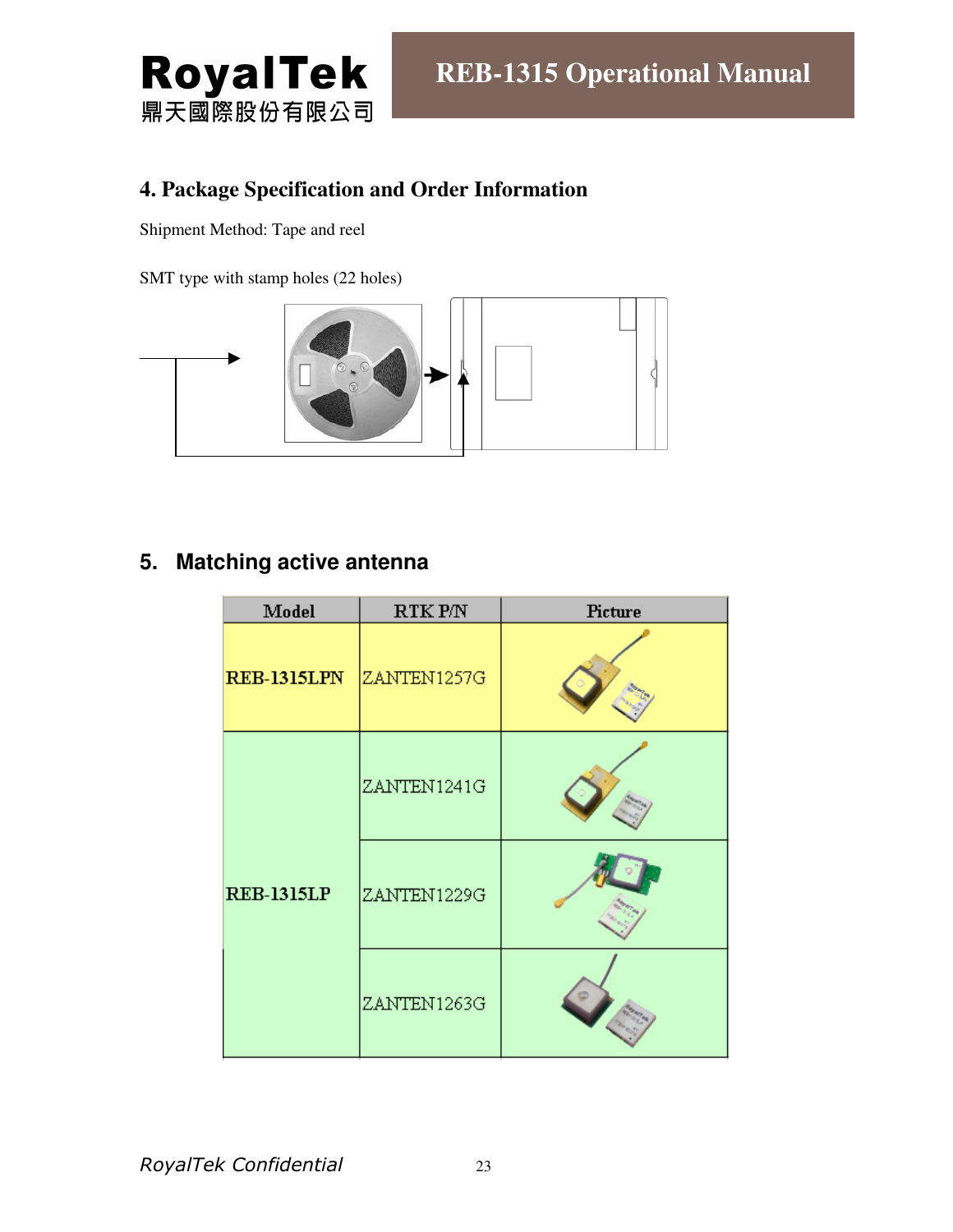

## **4. Package Specification and Order Information**

Shipment Method: Tape and reel

SMT type with stamp holes (22 holes)



# **5. Matching active antenna**

| Model              | RTK P/N     | Picture |
|--------------------|-------------|---------|
| <b>REB-1315LPN</b> | ZANTEN1257G |         |
|                    | ZANTEN1241G |         |
| <b>REB-1315LP</b>  | ZANTEN1229G |         |
|                    | ZANTEN1263G |         |